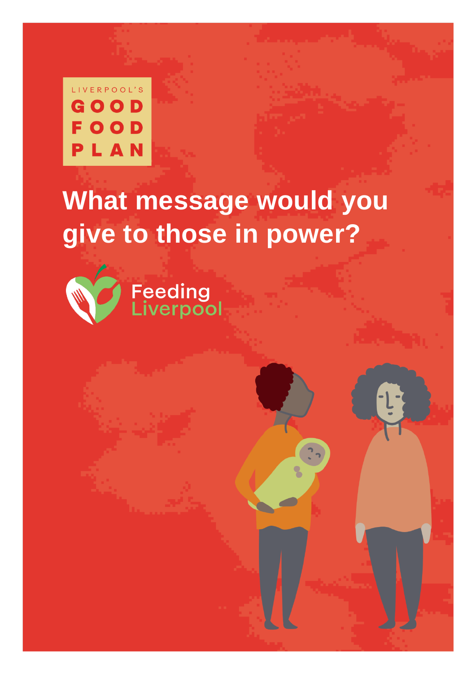

# **What message would you give to those in power?**

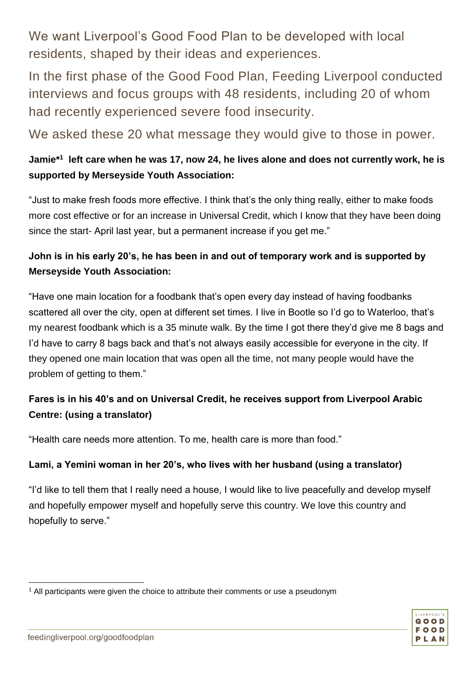We want Liverpool's Good Food Plan to be developed with local residents, shaped by their ideas and experiences.

In the first phase of the Good Food Plan, Feeding Liverpool conducted interviews and focus groups with 48 residents, including 20 of whom had recently experienced severe food insecurity.

We asked these 20 what message they would give to those in power.

# **Jamie\*<sup>1</sup> left care when he was 17, now 24, he lives alone and does not currently work, he is supported by Merseyside Youth Association:**

"Just to make fresh foods more effective. I think that's the only thing really, either to make foods more cost effective or for an increase in Universal Credit, which I know that they have been doing since the start- April last year, but a permanent increase if you get me."

# **John is in his early 20's, he has been in and out of temporary work and is supported by Merseyside Youth Association:**

"Have one main location for a foodbank that's open every day instead of having foodbanks scattered all over the city, open at different set times. I live in Bootle so I'd go to Waterloo, that's my nearest foodbank which is a 35 minute walk. By the time I got there they'd give me 8 bags and I'd have to carry 8 bags back and that's not always easily accessible for everyone in the city. If they opened one main location that was open all the time, not many people would have the problem of getting to them."

# **Fares is in his 40's and on Universal Credit, he receives support from Liverpool Arabic Centre: (using a translator)**

"Health care needs more attention. To me, health care is more than food."

#### **Lami, a Yemini woman in her 20's, who lives with her husband (using a translator)**

"I'd like to tell them that I really need a house, I would like to live peacefully and develop myself and hopefully empower myself and hopefully serve this country. We love this country and hopefully to serve."



<sup>1</sup> <sup>1</sup> All participants were given the choice to attribute their comments or use a pseudonym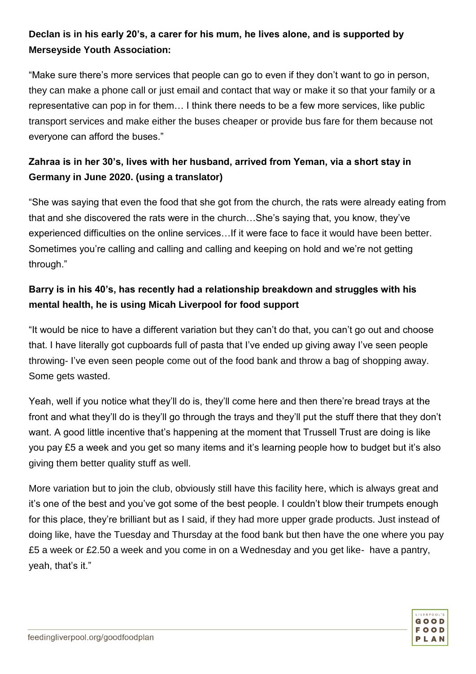# **Declan is in his early 20's, a carer for his mum, he lives alone, and is supported by Merseyside Youth Association:**

"Make sure there's more services that people can go to even if they don't want to go in person, they can make a phone call or just email and contact that way or make it so that your family or a representative can pop in for them… I think there needs to be a few more services, like public transport services and make either the buses cheaper or provide bus fare for them because not everyone can afford the buses."

# **Zahraa is in her 30's, lives with her husband, arrived from Yeman, via a short stay in Germany in June 2020. (using a translator)**

"She was saying that even the food that she got from the church, the rats were already eating from that and she discovered the rats were in the church…She's saying that, you know, they've experienced difficulties on the online services…If it were face to face it would have been better. Sometimes you're calling and calling and calling and keeping on hold and we're not getting through."

# **Barry is in his 40's, has recently had a relationship breakdown and struggles with his mental health, he is using Micah Liverpool for food support**

"It would be nice to have a different variation but they can't do that, you can't go out and choose that. I have literally got cupboards full of pasta that I've ended up giving away I've seen people throwing- I've even seen people come out of the food bank and throw a bag of shopping away. Some gets wasted.

Yeah, well if you notice what they'll do is, they'll come here and then there're bread trays at the front and what they'll do is they'll go through the trays and they'll put the stuff there that they don't want. A good little incentive that's happening at the moment that Trussell Trust are doing is like you pay £5 a week and you get so many items and it's learning people how to budget but it's also giving them better quality stuff as well.

More variation but to join the club, obviously still have this facility here, which is always great and it's one of the best and you've got some of the best people. I couldn't blow their trumpets enough for this place, they're brilliant but as I said, if they had more upper grade products. Just instead of doing like, have the Tuesday and Thursday at the food bank but then have the one where you pay £5 a week or £2.50 a week and you come in on a Wednesday and you get like- have a pantry, yeah, that's it."

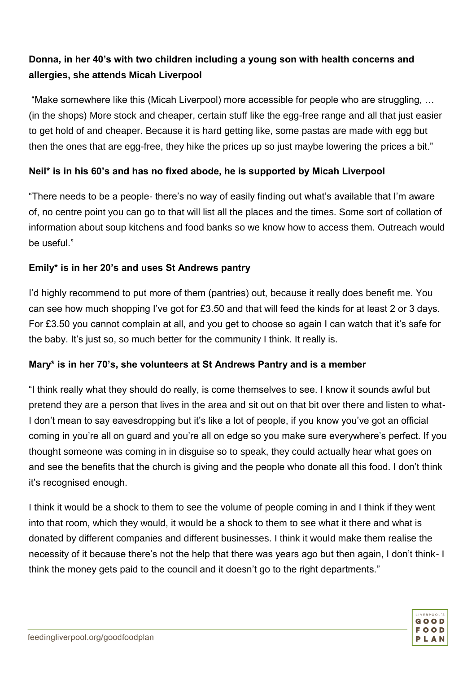# **Donna, in her 40's with two children including a young son with health concerns and allergies, she attends Micah Liverpool**

"Make somewhere like this (Micah Liverpool) more accessible for people who are struggling, … (in the shops) More stock and cheaper, certain stuff like the egg-free range and all that just easier to get hold of and cheaper. Because it is hard getting like, some pastas are made with egg but then the ones that are egg-free, they hike the prices up so just maybe lowering the prices a bit."

#### **Neil\* is in his 60's and has no fixed abode, he is supported by Micah Liverpool**

"There needs to be a people- there's no way of easily finding out what's available that I'm aware of, no centre point you can go to that will list all the places and the times. Some sort of collation of information about soup kitchens and food banks so we know how to access them. Outreach would be useful."

#### **Emily\* is in her 20's and uses St Andrews pantry**

I'd highly recommend to put more of them (pantries) out, because it really does benefit me. You can see how much shopping I've got for £3.50 and that will feed the kinds for at least 2 or 3 days. For £3.50 you cannot complain at all, and you get to choose so again I can watch that it's safe for the baby. It's just so, so much better for the community I think. It really is.

#### **Mary\* is in her 70's, she volunteers at St Andrews Pantry and is a member**

"I think really what they should do really, is come themselves to see. I know it sounds awful but pretend they are a person that lives in the area and sit out on that bit over there and listen to what-I don't mean to say eavesdropping but it's like a lot of people, if you know you've got an official coming in you're all on guard and you're all on edge so you make sure everywhere's perfect. If you thought someone was coming in in disguise so to speak, they could actually hear what goes on and see the benefits that the church is giving and the people who donate all this food. I don't think it's recognised enough.

I think it would be a shock to them to see the volume of people coming in and I think if they went into that room, which they would, it would be a shock to them to see what it there and what is donated by different companies and different businesses. I think it would make them realise the necessity of it because there's not the help that there was years ago but then again, I don't think- I think the money gets paid to the council and it doesn't go to the right departments."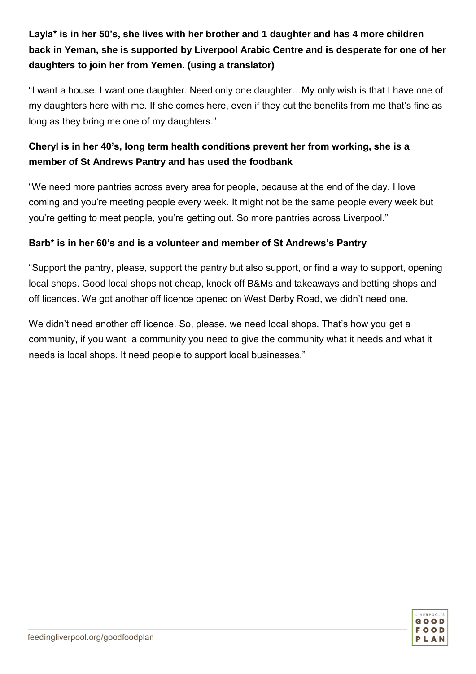# **Layla\* is in her 50's, she lives with her brother and 1 daughter and has 4 more children back in Yeman, she is supported by Liverpool Arabic Centre and is desperate for one of her daughters to join her from Yemen. (using a translator)**

"I want a house. I want one daughter. Need only one daughter…My only wish is that I have one of my daughters here with me. If she comes here, even if they cut the benefits from me that's fine as long as they bring me one of my daughters."

# **Cheryl is in her 40's, long term health conditions prevent her from working, she is a member of St Andrews Pantry and has used the foodbank**

"We need more pantries across every area for people, because at the end of the day, I love coming and you're meeting people every week. It might not be the same people every week but you're getting to meet people, you're getting out. So more pantries across Liverpool."

#### **Barb\* is in her 60's and is a volunteer and member of St Andrews's Pantry**

"Support the pantry, please, support the pantry but also support, or find a way to support, opening local shops. Good local shops not cheap, knock off B&Ms and takeaways and betting shops and off licences. We got another off licence opened on West Derby Road, we didn't need one.

We didn't need another off licence. So, please, we need local shops. That's how you get a community, if you want a community you need to give the community what it needs and what it needs is local shops. It need people to support local businesses."